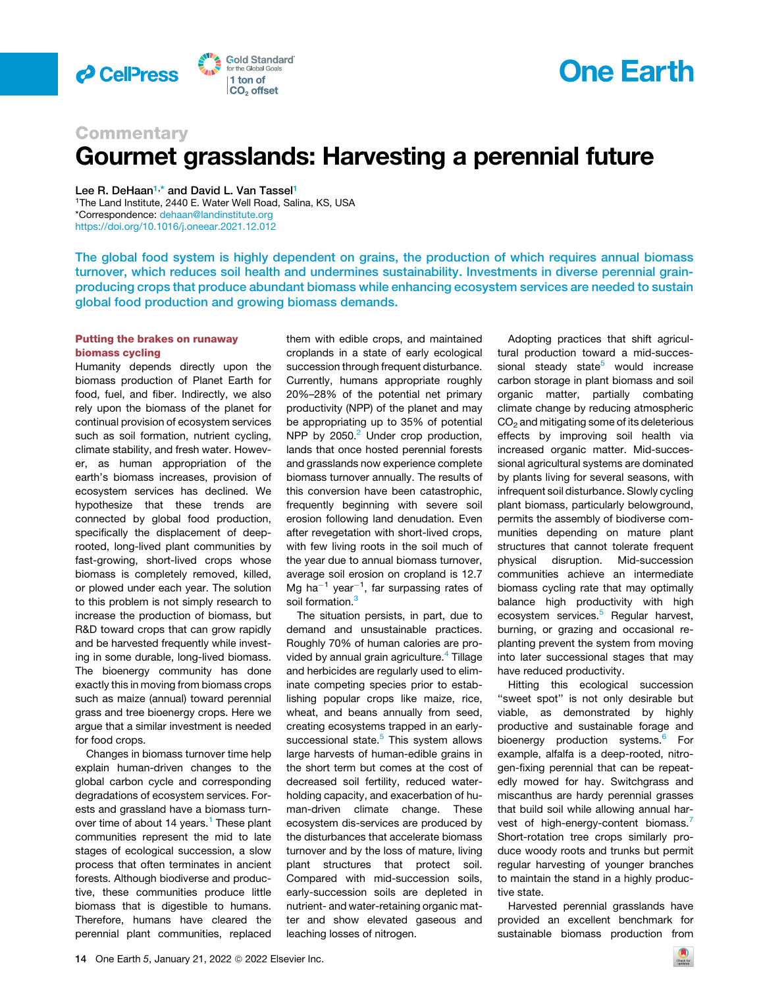

# **One Earth**

### **Commentary** Gourmet grasslands: Harvesting a perennial future

Lee R. DeHaan<sup>[1](#page-0-0),[\\*](#page-0-1)</sup> and David L. Van Tassel<sup>1</sup>

<span id="page-0-1"></span><span id="page-0-0"></span><sup>1</sup>The Land Institute, 2440 E. Water Well Road, Salina, KS, USA \*Correspondence: [dehaan@landinstitute.org](mailto:dehaan@landinstitute.org) <https://doi.org/10.1016/j.oneear.2021.12.012>

The global food system is highly dependent on grains, the production of which requires annual biomass turnover, which reduces soil health and undermines sustainability. Investments in diverse perennial grainproducing crops that produce abundant biomass while enhancing ecosystem services are needed to sustain global food production and growing biomass demands.

### Putting the brakes on runaway biomass cycling

Humanity depends directly upon the biomass production of Planet Earth for food, fuel, and fiber. Indirectly, we also rely upon the biomass of the planet for continual provision of ecosystem services such as soil formation, nutrient cycling, climate stability, and fresh water. However, as human appropriation of the earth's biomass increases, provision of ecosystem services has declined. We hypothesize that these trends are connected by global food production, specifically the displacement of deeprooted, long-lived plant communities by fast-growing, short-lived crops whose biomass is completely removed, killed, or plowed under each year. The solution to this problem is not simply research to increase the production of biomass, but R&D toward crops that can grow rapidly and be harvested frequently while investing in some durable, long-lived biomass. The bioenergy community has done exactly this in moving from biomass crops such as maize (annual) toward perennial grass and tree bioenergy crops. Here we argue that a similar investment is needed for food crops.

Changes in biomass turnover time help explain human-driven changes to the global carbon cycle and corresponding degradations of ecosystem services. Forests and grassland have a biomass turn-over time of about [1](#page-3-0)4 years.<sup>1</sup> These plant communities represent the mid to late stages of ecological succession, a slow process that often terminates in ancient forests. Although biodiverse and productive, these communities produce little biomass that is digestible to humans. Therefore, humans have cleared the perennial plant communities, replaced

them with edible crops, and maintained croplands in a state of early ecological succession through frequent disturbance. Currently, humans appropriate roughly 20%–28% of the potential net primary productivity (NPP) of the planet and may be appropriating up to 35% of potential NPP by  $2050.<sup>2</sup>$  $2050.<sup>2</sup>$  Under crop production, lands that once hosted perennial forests and grasslands now experience complete biomass turnover annually. The results of this conversion have been catastrophic, frequently beginning with severe soil erosion following land denudation. Even after revegetation with short-lived crops, with few living roots in the soil much of the year due to annual biomass turnover, average soil erosion on cropland is 12.7 Mg ha $^{-1}$  year $^{-1}$ , far surpassing rates of soil formation.<sup>[3](#page-3-2)</sup>

The situation persists, in part, due to demand and unsustainable practices. Roughly 70% of human calories are pro-vided by annual grain agriculture.<sup>[4](#page-3-3)</sup> Tillage and herbicides are regularly used to eliminate competing species prior to establishing popular crops like maize, rice, wheat, and beans annually from seed, creating ecosystems trapped in an earlysuccessional state.<sup>5</sup> This system allows large harvests of human-edible grains in the short term but comes at the cost of decreased soil fertility, reduced waterholding capacity, and exacerbation of human-driven climate change. These ecosystem dis-services are produced by the disturbances that accelerate biomass turnover and by the loss of mature, living plant structures that protect soil. Compared with mid-succession soils, early-succession soils are depleted in nutrient- and water-retaining organic matter and show elevated gaseous and leaching losses of nitrogen.

Adopting practices that shift agricultural production toward a mid-succes-sional steady state<sup>[5](#page-3-4)</sup> would increase carbon storage in plant biomass and soil organic matter, partially combating climate change by reducing atmospheric  $CO<sub>2</sub>$  and mitigating some of its deleterious effects by improving soil health via increased organic matter. Mid-successional agricultural systems are dominated by plants living for several seasons, with infrequent soil disturbance. Slowly cycling plant biomass, particularly belowground, permits the assembly of biodiverse communities depending on mature plant structures that cannot tolerate frequent physical disruption. Mid-succession communities achieve an intermediate biomass cycling rate that may optimally balance high productivity with high ecosystem services.<sup>[5](#page-3-4)</sup> Regular harvest, burning, or grazing and occasional replanting prevent the system from moving into later successional stages that may have reduced productivity.

Hitting this ecological succession ''sweet spot'' is not only desirable but viable, as demonstrated by highly productive and sustainable forage and bioenergy production systems.<sup>[6](#page-3-5)</sup> For example, alfalfa is a deep-rooted, nitrogen-fixing perennial that can be repeatedly mowed for hay. Switchgrass and miscanthus are hardy perennial grasses that build soil while allowing annual har-vest of high-energy-content biomass.<sup>[7](#page-3-6)</sup> Short-rotation tree crops similarly produce woody roots and trunks but permit regular harvesting of younger branches to maintain the stand in a highly productive state.

Harvested perennial grasslands have provided an excellent benchmark for sustainable biomass production from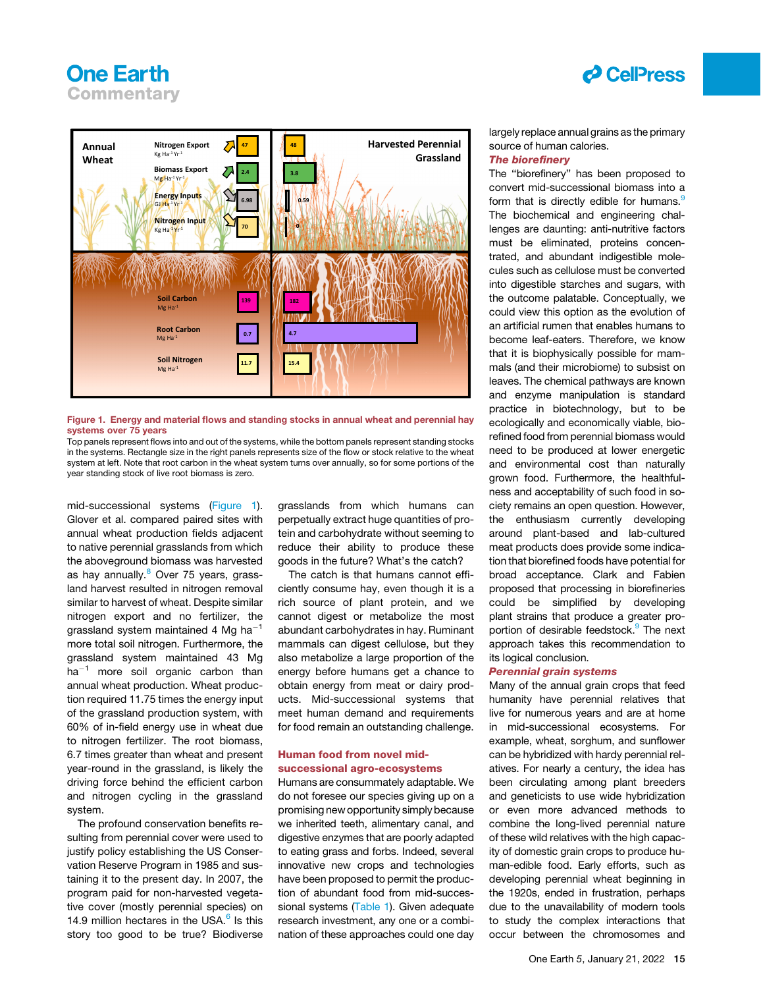## **One Earth Commentary**

## *d* CellPress

<span id="page-1-0"></span>



Top panels represent flows into and out of the systems, while the bottom panels represent standing stocks in the systems. Rectangle size in the right panels represents size of the flow or stock relative to the wheat system at left. Note that root carbon in the wheat system turns over annually, so for some portions of the year standing stock of live root biomass is zero.

mid-successional systems [\(Figure 1\)](#page-1-0). Glover et al. compared paired sites with annual wheat production fields adjacent to native perennial grasslands from which the aboveground biomass was harvested as hay annually.<sup>[8](#page-3-7)</sup> Over 75 years, grassland harvest resulted in nitrogen removal similar to harvest of wheat. Despite similar nitrogen export and no fertilizer, the grassland system maintained 4 Mg ha<sup>-1</sup> more total soil nitrogen. Furthermore, the grassland system maintained 43 Mg  $ha^{-1}$  more soil organic carbon than annual wheat production. Wheat production required 11.75 times the energy input of the grassland production system, with 60% of in-field energy use in wheat due to nitrogen fertilizer. The root biomass, 6.7 times greater than wheat and present year-round in the grassland, is likely the driving force behind the efficient carbon and nitrogen cycling in the grassland system.

The profound conservation benefits resulting from perennial cover were used to justify policy establishing the US Conservation Reserve Program in 1985 and sustaining it to the present day. In 2007, the program paid for non-harvested vegetative cover (mostly perennial species) on 14.9 million hectares in the USA. $<sup>6</sup>$  $<sup>6</sup>$  $<sup>6</sup>$  Is this</sup> story too good to be true? Biodiverse grasslands from which humans can perpetually extract huge quantities of protein and carbohydrate without seeming to reduce their ability to produce these goods in the future? What's the catch?

The catch is that humans cannot efficiently consume hay, even though it is a rich source of plant protein, and we cannot digest or metabolize the most abundant carbohydrates in hay. Ruminant mammals can digest cellulose, but they also metabolize a large proportion of the energy before humans get a chance to obtain energy from meat or dairy products. Mid-successional systems that meet human demand and requirements for food remain an outstanding challenge.

### Human food from novel midsuccessional agro-ecosystems

Humans are consummately adaptable. We do not foresee our species giving up on a promising new opportunity simply because we inherited teeth, alimentary canal, and digestive enzymes that are poorly adapted to eating grass and forbs. Indeed, several innovative new crops and technologies have been proposed to permit the production of abundant food from mid-successional systems [\(Table 1\)](#page-2-0). Given adequate research investment, any one or a combination of these approaches could one day largely replace annual grains as the primary source of human calories.

#### The biorefinery

The ''biorefinery'' has been proposed to convert mid-successional biomass into a form that is directly edible for humans.<sup>[9](#page-3-8)</sup> The biochemical and engineering challenges are daunting: anti-nutritive factors must be eliminated, proteins concentrated, and abundant indigestible molecules such as cellulose must be converted into digestible starches and sugars, with the outcome palatable. Conceptually, we could view this option as the evolution of an artificial rumen that enables humans to become leaf-eaters. Therefore, we know that it is biophysically possible for mammals (and their microbiome) to subsist on leaves. The chemical pathways are known and enzyme manipulation is standard practice in biotechnology, but to be ecologically and economically viable, biorefined food from perennial biomass would need to be produced at lower energetic and environmental cost than naturally grown food. Furthermore, the healthfulness and acceptability of such food in society remains an open question. However, the enthusiasm currently developing around plant-based and lab-cultured meat products does provide some indication that biorefined foods have potential for broad acceptance. Clark and Fabien proposed that processing in biorefineries could be simplified by developing plant strains that produce a greater proportion of desirable feedstock.<sup>9</sup> The next approach takes this recommendation to its logical conclusion.

### Perennial grain systems

Many of the annual grain crops that feed humanity have perennial relatives that live for numerous years and are at home in mid-successional ecosystems. For example, wheat, sorghum, and sunflower can be hybridized with hardy perennial relatives. For nearly a century, the idea has been circulating among plant breeders and geneticists to use wide hybridization or even more advanced methods to combine the long-lived perennial nature of these wild relatives with the high capacity of domestic grain crops to produce human-edible food. Early efforts, such as developing perennial wheat beginning in the 1920s, ended in frustration, perhaps due to the unavailability of modern tools to study the complex interactions that occur between the chromosomes and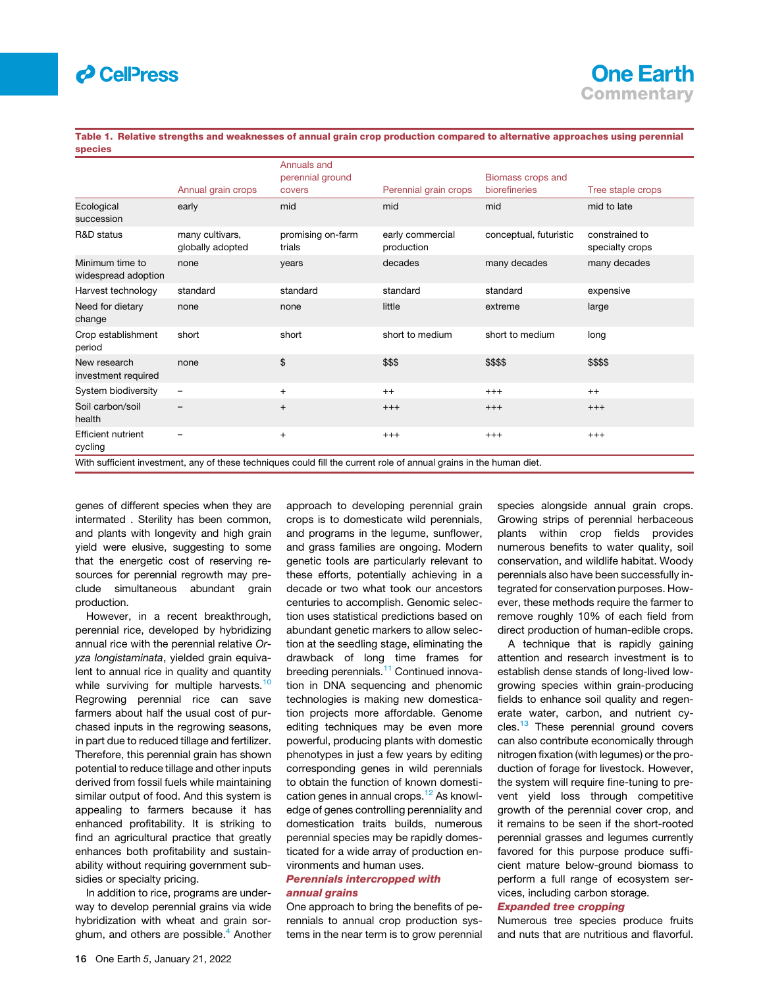### *d* CellPress

### **One Earth Commentary**

<span id="page-2-0"></span>Table 1. Relative strengths and weaknesses of annual grain crop production compared to alternative approaches using perennial species

|                                                                                                                     |                                     | Annuals and                 |                                |                                    |                                   |
|---------------------------------------------------------------------------------------------------------------------|-------------------------------------|-----------------------------|--------------------------------|------------------------------------|-----------------------------------|
|                                                                                                                     | Annual grain crops                  | perennial ground<br>covers  | Perennial grain crops          | Biomass crops and<br>biorefineries | Tree staple crops                 |
| Ecological<br>succession                                                                                            | early                               | mid                         | mid                            | mid                                | mid to late                       |
| R&D status                                                                                                          | many cultivars,<br>globally adopted | promising on-farm<br>trials | early commercial<br>production | conceptual, futuristic             | constrained to<br>specialty crops |
| Minimum time to<br>widespread adoption                                                                              | none                                | years                       | decades                        | many decades                       | many decades                      |
| Harvest technology                                                                                                  | standard                            | standard                    | standard                       | standard                           | expensive                         |
| Need for dietary<br>change                                                                                          | none                                | none                        | little                         | extreme                            | large                             |
| Crop establishment<br>period                                                                                        | short                               | short                       | short to medium                | short to medium                    | long                              |
| New research<br>investment required                                                                                 | none                                | \$                          | \$\$\$                         | \$\$\$\$                           | \$\$\$\$                          |
| System biodiversity                                                                                                 | $\overline{\phantom{m}}$            | $\ddot{}$                   | $++$                           | $^{+++}$                           | $++$                              |
| Soil carbon/soil<br>health                                                                                          |                                     | $^{+}$                      | $+++$                          | $+++$                              | $+++$                             |
| <b>Efficient nutrient</b><br>cycling                                                                                |                                     | $\ddot{}$                   | $^{+++}$                       | $^{+++}$                           | $+++$                             |
| With sufficient investment, any of these techniques could fill the current role of annual grains in the human diet. |                                     |                             |                                |                                    |                                   |

genes of different species when they are intermated . Sterility has been common, and plants with longevity and high grain yield were elusive, suggesting to some that the energetic cost of reserving resources for perennial regrowth may preclude simultaneous abundant grain production.

However, in a recent breakthrough, perennial rice, developed by hybridizing annual rice with the perennial relative *Oryza longistaminata*, yielded grain equivalent to annual rice in quality and quantity while surviving for multiple harvests.<sup>1</sup> Regrowing perennial rice can save farmers about half the usual cost of purchased inputs in the regrowing seasons, in part due to reduced tillage and fertilizer. Therefore, this perennial grain has shown potential to reduce tillage and other inputs derived from fossil fuels while maintaining similar output of food. And this system is appealing to farmers because it has enhanced profitability. It is striking to find an agricultural practice that greatly enhances both profitability and sustainability without requiring government subsidies or specialty pricing.

In addition to rice, programs are underway to develop perennial grains via wide hybridization with wheat and grain sor-ghum, and others are possible.<sup>[4](#page-3-3)</sup> Another approach to developing perennial grain crops is to domesticate wild perennials, and programs in the legume, sunflower, and grass families are ongoing. Modern genetic tools are particularly relevant to these efforts, potentially achieving in a decade or two what took our ancestors centuries to accomplish. Genomic selection uses statistical predictions based on abundant genetic markers to allow selection at the seedling stage, eliminating the drawback of long time frames for breeding perennials.<sup>[11](#page-3-10)</sup> Continued innovation in DNA sequencing and phenomic technologies is making new domestication projects more affordable. Genome editing techniques may be even more powerful, producing plants with domestic phenotypes in just a few years by editing corresponding genes in wild perennials to obtain the function of known domestication genes in annual crops.<sup>12</sup> As knowledge of genes controlling perenniality and domestication traits builds, numerous perennial species may be rapidly domesticated for a wide array of production environments and human uses.

#### Perennials intercropped with annual grains

One approach to bring the benefits of perennials to annual crop production systems in the near term is to grow perennial species alongside annual grain crops. Growing strips of perennial herbaceous plants within crop fields provides numerous benefits to water quality, soil conservation, and wildlife habitat. Woody perennials also have been successfully integrated for conservation purposes. However, these methods require the farmer to remove roughly 10% of each field from direct production of human-edible crops.

A technique that is rapidly gaining attention and research investment is to establish dense stands of long-lived lowgrowing species within grain-producing fields to enhance soil quality and regenerate water, carbon, and nutrient cy-cles.<sup>[13](#page-3-12)</sup> These perennial ground covers can also contribute economically through nitrogen fixation (with legumes) or the production of forage for livestock. However, the system will require fine-tuning to prevent yield loss through competitive growth of the perennial cover crop, and it remains to be seen if the short-rooted perennial grasses and legumes currently favored for this purpose produce sufficient mature below-ground biomass to perform a full range of ecosystem services, including carbon storage.

### Expanded tree cropping

Numerous tree species produce fruits and nuts that are nutritious and flavorful.